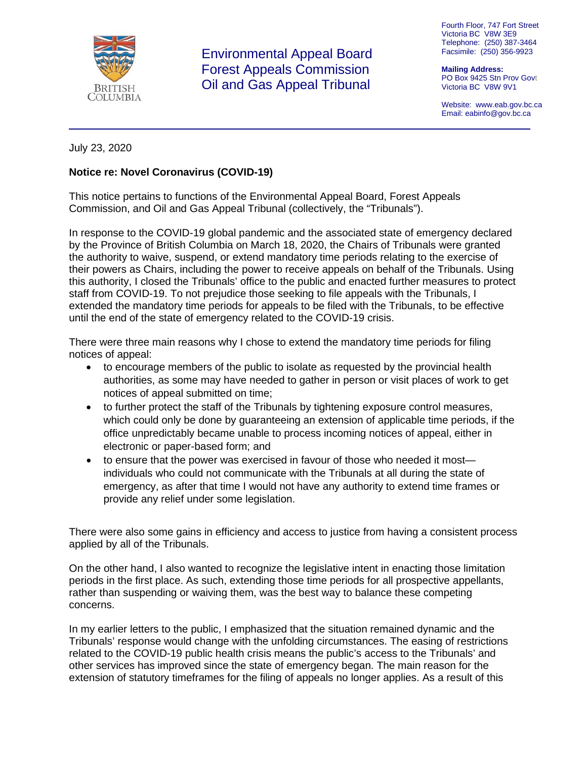

 Environmental Appeal Board Forest Appeals Commission Oil and Gas Appeal Tribunal

Fourth Floor, 747 Fort Street Victoria BC V8W 3E9 Telephone: (250) 387-3464 Facsimile: (250) 356-9923

**Mailing Address:** PO Box 9425 Stn Prov Govt Victoria BC V8W 9V1

Website: www.eab.gov.bc.ca Email: eabinfo@gov.bc.ca

## July 23, 2020

## **Notice re: Novel Coronavirus (COVID-19)**

This notice pertains to functions of the Environmental Appeal Board, Forest Appeals Commission, and Oil and Gas Appeal Tribunal (collectively, the "Tribunals").

In response to the COVID-19 global pandemic and the associated state of emergency declared by the Province of British Columbia on March 18, 2020, the Chairs of Tribunals were granted the authority to waive, suspend, or extend mandatory time periods relating to the exercise of their powers as Chairs, including the power to receive appeals on behalf of the Tribunals. Using this authority, I closed the Tribunals' office to the public and enacted further measures to protect staff from COVID-19. To not prejudice those seeking to file appeals with the Tribunals, I extended the mandatory time periods for appeals to be filed with the Tribunals, to be effective until the end of the state of emergency related to the COVID-19 crisis.

There were three main reasons why I chose to extend the mandatory time periods for filing notices of appeal:

- to encourage members of the public to isolate as requested by the provincial health authorities, as some may have needed to gather in person or visit places of work to get notices of appeal submitted on time;
- to further protect the staff of the Tribunals by tightening exposure control measures, which could only be done by guaranteeing an extension of applicable time periods, if the office unpredictably became unable to process incoming notices of appeal, either in electronic or paper-based form; and
- to ensure that the power was exercised in favour of those who needed it most individuals who could not communicate with the Tribunals at all during the state of emergency, as after that time I would not have any authority to extend time frames or provide any relief under some legislation.

There were also some gains in efficiency and access to justice from having a consistent process applied by all of the Tribunals.

On the other hand, I also wanted to recognize the legislative intent in enacting those limitation periods in the first place. As such, extending those time periods for all prospective appellants, rather than suspending or waiving them, was the best way to balance these competing concerns.

In my earlier letters to the public, I emphasized that the situation remained dynamic and the Tribunals' response would change with the unfolding circumstances. The easing of restrictions related to the COVID-19 public health crisis means the public's access to the Tribunals' and other services has improved since the state of emergency began. The main reason for the extension of statutory timeframes for the filing of appeals no longer applies. As a result of this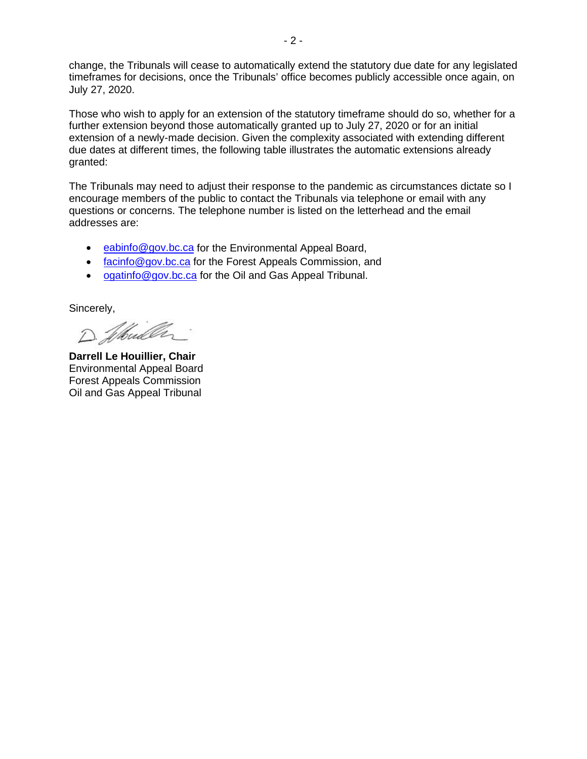change, the Tribunals will cease to automatically extend the statutory due date for any legislated timeframes for decisions, once the Tribunals' office becomes publicly accessible once again, on July 27, 2020.

Those who wish to apply for an extension of the statutory timeframe should do so, whether for a further extension beyond those automatically granted up to July 27, 2020 or for an initial extension of a newly-made decision. Given the complexity associated with extending different due dates at different times, the following table illustrates the automatic extensions already granted:

The Tribunals may need to adjust their response to the pandemic as circumstances dictate so I encourage members of the public to contact the Tribunals via telephone or email with any questions or concerns. The telephone number is listed on the letterhead and the email addresses are:

- [eabinfo@gov.bc.ca](mailto:eabinfo@gov.bc.ca) for the Environmental Appeal Board,
- [facinfo@gov.bc.ca](mailto:facinfo@gov.bc.ca) for the Forest Appeals Commission, and
- [ogatinfo@gov.bc.ca](mailto:ogatinfo@gov.bc.ca) for the Oil and Gas Appeal Tribunal.

Sincerely,

D. Whiller

**Darrell Le Houillier, Chair** Environmental Appeal Board Forest Appeals Commission Oil and Gas Appeal Tribunal